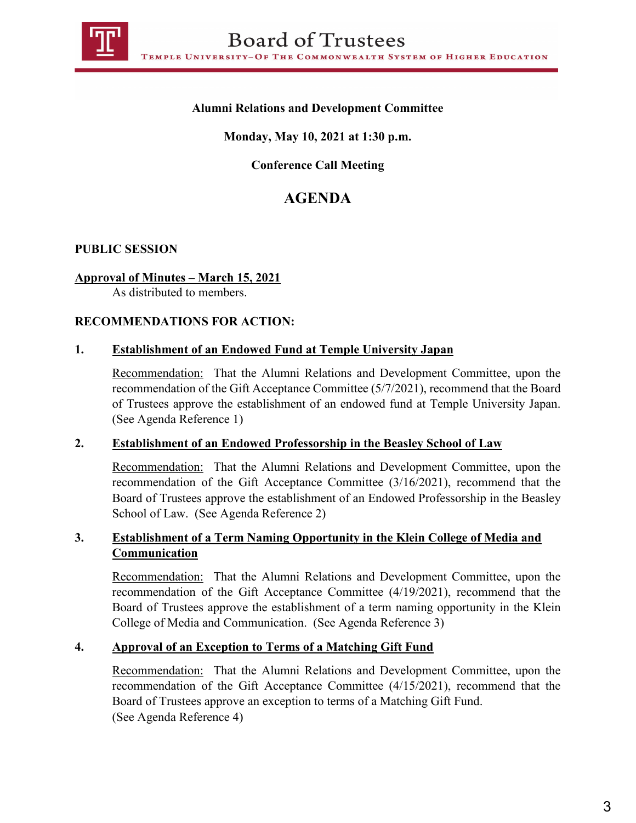

## **Alumni Relations and Development Committee**

## **Monday, May 10, 2021 at 1:30 p.m.**

# **Conference Call Meeting**

# **AGENDA**

#### **PUBLIC SESSION**

#### **Approval of Minutes – March 15, 2021**

As distributed to members.

#### **RECOMMENDATIONS FOR ACTION:**

#### **1. Establishment of an Endowed Fund at Temple University Japan**

Recommendation: That the Alumni Relations and Development Committee, upon the recommendation of the Gift Acceptance Committee (5/7/2021), recommend that the Board of Trustees approve the establishment of an endowed fund at Temple University Japan. (See Agenda Reference 1)

#### **2. Establishment of an Endowed Professorship in the Beasley School of Law**

Recommendation: That the Alumni Relations and Development Committee, upon the recommendation of the Gift Acceptance Committee (3/16/2021), recommend that the Board of Trustees approve the establishment of an Endowed Professorship in the Beasley School of Law. (See Agenda Reference 2)

## **3. Establishment of a Term Naming Opportunity in the Klein College of Media and Communication**

Recommendation: That the Alumni Relations and Development Committee, upon the recommendation of the Gift Acceptance Committee (4/19/2021), recommend that the Board of Trustees approve the establishment of a term naming opportunity in the Klein College of Media and Communication. (See Agenda Reference 3)

#### **4. Approval of an Exception to Terms of a Matching Gift Fund**

Recommendation: That the Alumni Relations and Development Committee, upon the recommendation of the Gift Acceptance Committee (4/15/2021), recommend that the Board of Trustees approve an exception to terms of a Matching Gift Fund. (See Agenda Reference 4)